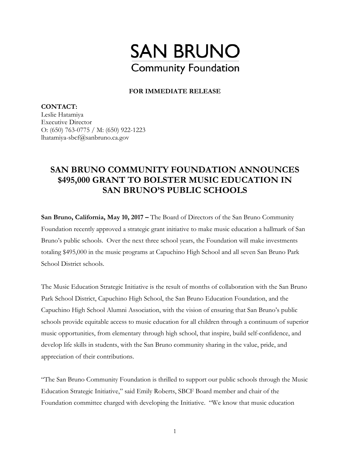

**FOR IMMEDIATE RELEASE** 

**CONTACT:**  Leslie Hatamiya Executive Director O: (650) 763-0775 / M: (650) 922-1223 lhatamiya-sbcf@sanbruno.ca.gov

## **SAN BRUNO COMMUNITY FOUNDATION ANNOUNCES \$495,000 GRANT TO BOLSTER MUSIC EDUCATION IN SAN BRUNO'S PUBLIC SCHOOLS**

**San Bruno, California, May 10, 2017** – The Board of Directors of the San Bruno Community Foundation recently approved a strategic grant initiative to make music education a hallmark of San Bruno's public schools. Over the next three school years, the Foundation will make investments totaling \$495,000 in the music programs at Capuchino High School and all seven San Bruno Park School District schools.

The Music Education Strategic Initiative is the result of months of collaboration with the San Bruno Park School District, Capuchino High School, the San Bruno Education Foundation, and the Capuchino High School Alumni Association, with the vision of ensuring that San Bruno's public schools provide equitable access to music education for all children through a continuum of superior music opportunities, from elementary through high school, that inspire, build self-confidence, and develop life skills in students, with the San Bruno community sharing in the value, pride, and appreciation of their contributions.

"The San Bruno Community Foundation is thrilled to support our public schools through the Music Education Strategic Initiative," said Emily Roberts, SBCF Board member and chair of the Foundation committee charged with developing the Initiative. "We know that music education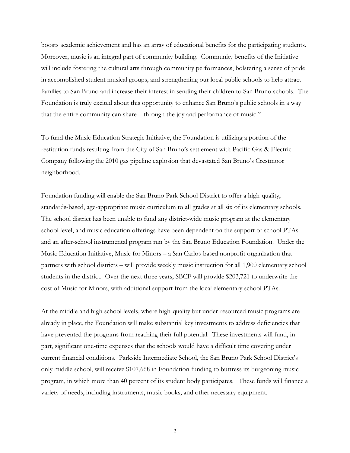boosts academic achievement and has an array of educational benefits for the participating students. Moreover, music is an integral part of community building. Community benefits of the Initiative will include fostering the cultural arts through community performances, bolstering a sense of pride in accomplished student musical groups, and strengthening our local public schools to help attract families to San Bruno and increase their interest in sending their children to San Bruno schools. The Foundation is truly excited about this opportunity to enhance San Bruno's public schools in a way that the entire community can share – through the joy and performance of music."

To fund the Music Education Strategic Initiative, the Foundation is utilizing a portion of the restitution funds resulting from the City of San Bruno's settlement with Pacific Gas & Electric Company following the 2010 gas pipeline explosion that devastated San Bruno's Crestmoor neighborhood.

Foundation funding will enable the San Bruno Park School District to offer a high-quality, standards-based, age-appropriate music curriculum to all grades at all six of its elementary schools. The school district has been unable to fund any district-wide music program at the elementary school level, and music education offerings have been dependent on the support of school PTAs and an after-school instrumental program run by the San Bruno Education Foundation. Under the Music Education Initiative, Music for Minors – a San Carlos-based nonprofit organization that partners with school districts – will provide weekly music instruction for all 1,900 elementary school students in the district. Over the next three years, SBCF will provide \$203,721 to underwrite the cost of Music for Minors, with additional support from the local elementary school PTAs.

At the middle and high school levels, where high-quality but under-resourced music programs are already in place, the Foundation will make substantial key investments to address deficiencies that have prevented the programs from reaching their full potential. These investments will fund, in part, significant one-time expenses that the schools would have a difficult time covering under current financial conditions. Parkside Intermediate School, the San Bruno Park School District's only middle school, will receive \$107,668 in Foundation funding to buttress its burgeoning music program, in which more than 40 percent of its student body participates. These funds will finance a variety of needs, including instruments, music books, and other necessary equipment.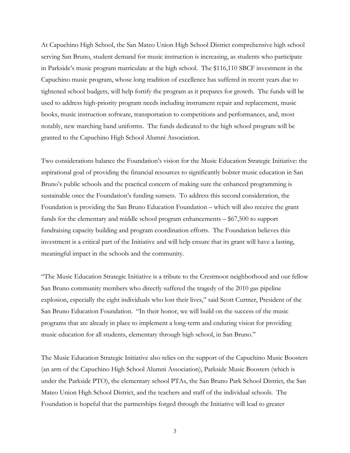At Capuchino High School, the San Mateo Union High School District comprehensive high school serving San Bruno, student demand for music instruction is increasing, as students who participate in Parkside's music program matriculate at the high school. The \$116,110 SBCF investment in the Capuchino music program, whose long tradition of excellence has suffered in recent years due to tightened school budgets, will help fortify the program as it prepares for growth. The funds will be used to address high-priority program needs including instrument repair and replacement, music books, music instruction software, transportation to competitions and performances, and, most notably, new marching band uniforms. The funds dedicated to the high school program will be granted to the Capuchino High School Alumni Association.

Two considerations balance the Foundation's vision for the Music Education Strategic Initiative: the aspirational goal of providing the financial resources to significantly bolster music education in San Bruno's public schools and the practical concern of making sure the enhanced programming is sustainable once the Foundation's funding sunsets. To address this second consideration, the Foundation is providing the San Bruno Education Foundation – which will also receive the grant funds for the elementary and middle school program enhancements – \$67,500 to support fundraising capacity building and program coordination efforts. The Foundation believes this investment is a critical part of the Initiative and will help ensure that its grant will have a lasting, meaningful impact in the schools and the community.

"The Music Education Strategic Initiative is a tribute to the Crestmoor neighborhood and our fellow San Bruno community members who directly suffered the tragedy of the 2010 gas pipeline explosion, especially the eight individuals who lost their lives," said Scott Curtner, President of the San Bruno Education Foundation. "In their honor, we will build on the success of the music programs that are already in place to implement a long-term and enduring vision for providing music education for all students, elementary through high school, in San Bruno."

The Music Education Strategic Initiative also relies on the support of the Capuchino Music Boosters (an arm of the Capuchino High School Alumni Association), Parkside Music Boosters (which is under the Parkside PTO), the elementary school PTAs, the San Bruno Park School District, the San Mateo Union High School District, and the teachers and staff of the individual schools. The Foundation is hopeful that the partnerships forged through the Initiative will lead to greater

3